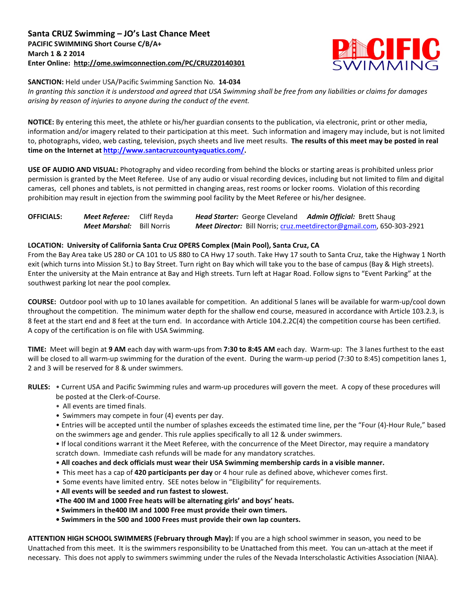

**SANCTION:** Held under USA/Pacific Swimming Sanction No. **14-034**

*In granting this sanction it is understood and agreed that USA Swimming shall be free from any liabilities or claims for damages arising by reason of injuries to anyone during the conduct of the event.*

**NOTICE:** By entering this meet, the athlete or his/her guardian consents to the publication, via electronic, print or other media, information and/or imagery related to their participation at this meet. Such information and imagery may include, but is not limited to, photographs, video, web casting, television, psych sheets and live meet results. **The results of this meet may be posted in real time on the Internet a[t http://www.santacruzcountyaquatics.com/.](http://www.santacruzcountyaquatics.com/)**

**USE OF AUDIO AND VISUAL:** Photography and video recording from behind the blocks or starting areas is prohibited unless prior permission is granted by the Meet Referee. Use of any audio or visual recording devices, including but not limited to film and digital cameras, cell phones and tablets, is not permitted in changing areas, rest rooms or locker rooms. Violation of this recording prohibition may result in ejection from the swimming pool facility by the Meet Referee or his/her designee.

| <b>OFFICIALS:</b> | <b>Meet Referee:</b> Cliff Reyda | <b>Head Starter:</b> George Cleveland Admin Official: Brett Shaug |                                                                              |
|-------------------|----------------------------------|-------------------------------------------------------------------|------------------------------------------------------------------------------|
|                   | <b>Meet Marshal:</b> Bill Norris |                                                                   | <b>Meet Director:</b> Bill Norris; cruz.meetdirector@gmail.com, 650-303-2921 |

### **LOCATION: University of California Santa Cruz OPERS Complex (Main Pool), Santa Cruz, CA**

From the Bay Area take US 280 or CA 101 to US 880 to CA Hwy 17 south. Take Hwy 17 south to Santa Cruz, take the Highway 1 North exit (which turns into Mission St.) to Bay Street. Turn right on Bay which will take you to the base of campus (Bay & High streets). Enter the university at the Main entrance at Bay and High streets. Turn left at Hagar Road. Follow signs to "Event Parking" at the southwest parking lot near the pool complex.

**COURSE:** Outdoor pool with up to 10 lanes available for competition. An additional 5 lanes will be available for warm-up/cool down throughout the competition. The minimum water depth for the shallow end course, measured in accordance with Article 103.2.3, is 8 feet at the start end and 8 feet at the turn end. In accordance with Article 104.2.2C(4) the competition course has been certified. A copy of the certification is on file with USA Swimming.

**TIME:** Meet will begin at **9 AM** each day with warm-ups from **7:30 to 8:45 AM** each day. Warm-up: The 3 lanes furthest to the east will be closed to all warm-up swimming for the duration of the event. During the warm-up period (7:30 to 8:45) competition lanes 1, 2 and 3 will be reserved for 8 & under swimmers.

**RULES:** • Current USA and Pacific Swimming rules and warm-up procedures will govern the meet. A copy of these procedures will be posted at the Clerk-of-Course.

- All events are timed finals.
- Swimmers may compete in four (4) events per day.
- Entries will be accepted until the number of splashes exceeds the estimated time line, per the "Four (4)-Hour Rule," based on the swimmers age and gender. This rule applies specifically to all 12 & under swimmers.

• If local conditions warrant it the Meet Referee, with the concurrence of the Meet Director, may require a mandatory scratch down. Immediate cash refunds will be made for any mandatory scratches.

- **All coaches and deck officials must wear their USA Swimming membership cards in a visible manner.**
- This meet has a cap of **420 participants per day** or 4 hour rule as defined above, whichever comes first.
- Some events have limited entry. SEE notes below in "Eligibility" for requirements.
- **All events will be seeded and run fastest to slowest.**
- **•The 400 IM and 1000 Free heats will be alternating girls' and boys' heats.**
- **• Swimmers in the400 IM and 1000 Free must provide their own timers.**
- **Swimmers in the 500 and 1000 Frees must provide their own lap counters.**

**ATTENTION HIGH SCHOOL SWIMMERS (February through May):** If you are a high school swimmer in season, you need to be Unattached from this meet. It is the swimmers responsibility to be Unattached from this meet. You can un-attach at the meet if necessary. This does not apply to swimmers swimming under the rules of the Nevada Interscholastic Activities Association (NIAA).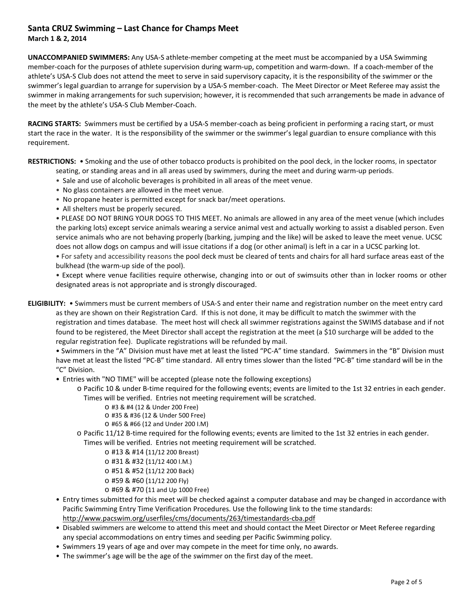# **Santa CRUZ Swimming – Last Chance for Champs Meet**

**March 1 & 2, 2014**

**UNACCOMPANIED SWIMMERS:** Any USA-S athlete-member competing at the meet must be accompanied by a USA Swimming member-coach for the purposes of athlete supervision during warm-up, competition and warm-down. If a coach-member of the athlete's USA-S Club does not attend the meet to serve in said supervisory capacity, it is the responsibility of the swimmer or the swimmer's legal guardian to arrange for supervision by a USA-S member-coach. The Meet Director or Meet Referee may assist the swimmer in making arrangements for such supervision; however, it is recommended that such arrangements be made in advance of the meet by the athlete's USA-S Club Member-Coach.

**RACING STARTS:** Swimmers must be certified by a USA-S member-coach as being proficient in performing a racing start, or must start the race in the water. It is the responsibility of the swimmer or the swimmer's legal guardian to ensure compliance with this requirement.

**RESTRICTIONS:** • Smoking and the use of other tobacco products is prohibited on the pool deck, in the locker rooms, in spectator seating, or standing areas and in all areas used by swimmers, during the meet and during warm-up periods.

- Sale and use of alcoholic beverages is prohibited in all areas of the meet venue.
- No glass containers are allowed in the meet venue.
- No propane heater is permitted except for snack bar/meet operations.
- All shelters must be properly secured.

• PLEASE DO NOT BRING YOUR DOGS TO THIS MEET. No animals are allowed in any area of the meet venue (which includes the parking lots) except service animals wearing a service animal vest and actually working to assist a disabled person. Even service animals who are not behaving properly (barking, jumping and the like) will be asked to leave the meet venue. UCSC does not allow dogs on campus and will issue citations if a dog (or other animal) is left in a car in a UCSC parking lot. • For safety and accessibility reasons the pool deck must be cleared of tents and chairs for all hard surface areas east of the bulkhead (the warm-up side of the pool).

• Except where venue facilities require otherwise, changing into or out of swimsuits other than in locker rooms or other designated areas is not appropriate and is strongly discouraged.

**ELIGIBILITY:** • Swimmers must be current members of USA-S and enter their name and registration number on the meet entry card as they are shown on their Registration Card. If this is not done, it may be difficult to match the swimmer with the registration and times database. The meet host will check all swimmer registrations against the SWIMS database and if not found to be registered, the Meet Director shall accept the registration at the meet (a \$10 surcharge will be added to the regular registration fee). Duplicate registrations will be refunded by mail.

• Swimmers in the "A" Division must have met at least the listed "PC-A" time standard. Swimmers in the "B" Division must have met at least the listed "PC-B" time standard. All entry times slower than the listed "PC-B" time standard will be in the "C" Division.

- Entries with "NO TIME" will be accepted (please note the following exceptions)
	- o Pacific 10 & under B-time required for the following events; events are limited to the 1st 32 entries in each gender. Times will be verified. Entries not meeting requirement will be scratched.
		- o #3 & #4 (12 & Under 200 Free)
		- o #35 & #36 (12 & Under 500 Free)
		- o #65 & #66 (12 and Under 200 I.M)
	- o Pacific 11/12 B-time required for the following events; events are limited to the 1st 32 entries in each gender.
	- Times will be verified. Entries not meeting requirement will be scratched.
		- o #13 & #14 (11/12 200 Breast)
		- o #31 & #32 (11/12 400 I.M.)
		- o #51 & #52 (11/12 200 Back)
		- o #59 & #60 (11/12 200 Fly)
		- o #69 & #70 (11 and Up 1000 Free)
- Entry times submitted for this meet will be checked against a computer database and may be changed in accordance with Pacific Swimming Entry Time Verification Procedures. Use the following link to the time standards: <http://www.pacswim.org/userfiles/cms/documents/263/timestandards-cba.pdf>
- Disabled swimmers are welcome to attend this meet and should contact the Meet Director or Meet Referee regarding any special accommodations on entry times and seeding per Pacific Swimming policy.
- Swimmers 19 years of age and over may compete in the meet for time only, no awards.
- The swimmer's age will be the age of the swimmer on the first day of the meet.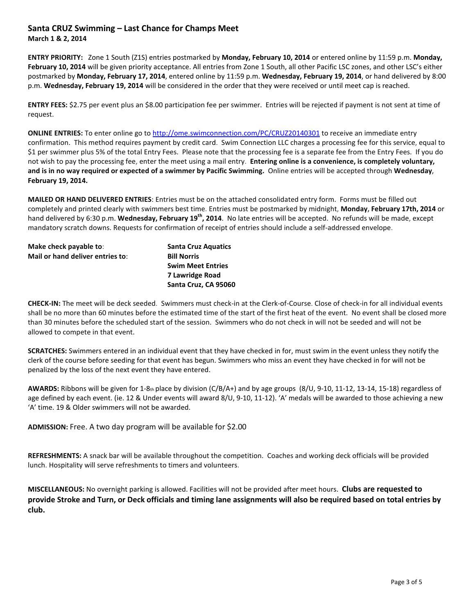### **Santa CRUZ Swimming – Last Chance for Champs Meet**

**March 1 & 2, 2014**

**ENTRY PRIORITY:** Zone 1 South (Z1S) entries postmarked by **Monday, February 10, 2014** or entered online by 11:59 p.m. **Monday,**  February 10, 2014 will be given priority acceptance. All entries from Zone 1 South, all other Pacific LSC zones, and other LSC's either postmarked by **Monday, February 17, 2014**, entered online by 11:59 p.m. **Wednesday, February 19, 2014**, or hand delivered by 8:00 p.m. **Wednesday, February 19, 2014** will be considered in the order that they were received or until meet cap is reached.

**ENTRY FEES:** \$2.75 per event plus an \$8.00 participation fee per swimmer. Entries will be rejected if payment is not sent at time of request.

**ONLINE ENTRIES:** To enter online go t[o http://ome.swimconnection.com/PC/CRUZ20140301](http://ome.swimconnection.com/PC/CRUZ20140301) to receive an immediate entry confirmation. This method requires payment by credit card. Swim Connection LLC charges a processing fee for this service, equal to \$1 per swimmer plus 5% of the total Entry Fees. Please note that the processing fee is a separate fee from the Entry Fees. If you do not wish to pay the processing fee, enter the meet using a mail entry. **Entering online is a convenience, is completely voluntary, and is in no way required or expected of a swimmer by Pacific Swimming.** Online entries will be accepted through **Wednesday**, **February 19, 2014.**

**MAILED OR HAND DELIVERED ENTRIES**: Entries must be on the attached consolidated entry form. Forms must be filled out completely and printed clearly with swimmers best time. Entries must be postmarked by midnight, **Monday, February 17th, 2014** or hand delivered by 6:30 p.m. **Wednesday, February 19th, 2014**. No late entries will be accepted. No refunds will be made, except mandatory scratch downs. Requests for confirmation of receipt of entries should include a self-addressed envelope.

| Make check payable to:           | <b>Santa Cruz Aquatics</b> |
|----------------------------------|----------------------------|
| Mail or hand deliver entries to: | <b>Bill Norris</b>         |
|                                  | <b>Swim Meet Entries</b>   |
|                                  | 7 Lawridge Road            |
|                                  | Santa Cruz, CA 95060       |

**CHECK-IN:** The meet will be deck seeded. Swimmers must check-in at the Clerk-of-Course. Close of check-in for all individual events shall be no more than 60 minutes before the estimated time of the start of the first heat of the event. No event shall be closed more than 30 minutes before the scheduled start of the session. Swimmers who do not check in will not be seeded and will not be allowed to compete in that event.

**SCRATCHES:** Swimmers entered in an individual event that they have checked in for, must swim in the event unless they notify the clerk of the course before seeding for that event has begun. Swimmers who miss an event they have checked in for will not be penalized by the loss of the next event they have entered.

**AWARDS:** Ribbons will be given for 1-8th place by division (C/B/A+) and by age groups (8/U, 9-10, 11-12, 13-14, 15-18) regardless of age defined by each event. (ie. 12 & Under events will award 8/U, 9-10, 11-12). 'A' medals will be awarded to those achieving a new 'A' time. 19 & Older swimmers will not be awarded.

**ADMISSION:** Free. A two day program will be available for \$2.00

**REFRESHMENTS:** A snack bar will be available throughout the competition. Coaches and working deck officials will be provided lunch. Hospitality will serve refreshments to timers and volunteers.

**MISCELLANEOUS:** No overnight parking is allowed. Facilities will not be provided after meet hours. **Clubs are requested to provide Stroke and Turn, or Deck officials and timing lane assignments will also be required based on total entries by club.**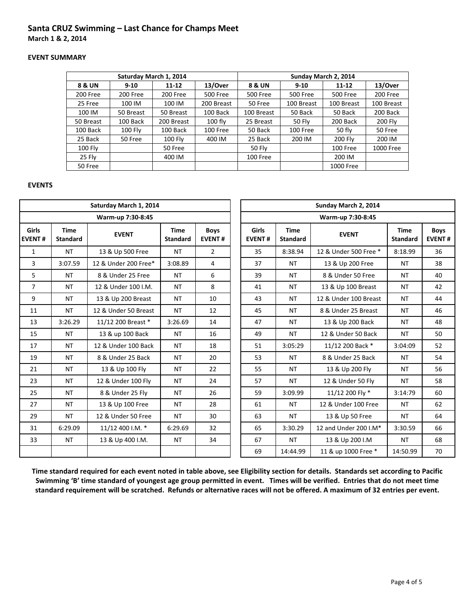## **Santa CRUZ Swimming – Last Chance for Champs Meet**

**March 1 & 2, 2014**

#### **EVENT SUMMARY**

|           |                | Saturday March 1, 2014 |                 | Sunday March 2, 2014 |                 |                 |            |  |  |  |
|-----------|----------------|------------------------|-----------------|----------------------|-----------------|-----------------|------------|--|--|--|
| 8 & UN    | $9 - 10$       | 11-12                  | 13/Over         | 8 & UN               | $9 - 10$        | $11 - 12$       | 13/Over    |  |  |  |
| 200 Free  | 200 Free       | 200 Free               | <b>500 Free</b> | <b>500 Free</b>      | <b>500 Free</b> | <b>500 Free</b> | 200 Free   |  |  |  |
| 25 Free   | 100 IM         | 100 IM                 | 200 Breast      | 50 Free              | 100 Breast      | 100 Breast      | 100 Breast |  |  |  |
| 100 IM    | 50 Breast      | 50 Breast              | 100 Back        | 100 Breast           | 50 Back         | 50 Back         | 200 Back   |  |  |  |
| 50 Breast | 100 Back       | 200 Breast             | $100$ fly       | 25 Breast            | 50 Fly          | 200 Back        | 200 Fly    |  |  |  |
| 100 Back  | <b>100 Flv</b> | 100 Back               | 100 Free        | 50 Back              | 100 Free        | 50 fly          | 50 Free    |  |  |  |
| 25 Back   | 50 Free        | <b>100 Fly</b>         | 400 IM          | 25 Back              | 200 IM          | 200 Fly         | 200 IM     |  |  |  |
| 100 Fly   |                | 50 Free                |                 | 50 Fly               |                 | 100 Free        | 1000 Free  |  |  |  |
| 25 Fly    |                | 400 IM                 |                 | 100 Free             |                 | 200 IM          |            |  |  |  |
| 50 Free   |                |                        |                 |                      |                 | 1000 Free       |            |  |  |  |

### **EVENTS**

| Saturday March 1, 2014 |                                |                      |                                |                              |  | Sunday March 2, 2014          |                                |                       |                                |                              |  |  |
|------------------------|--------------------------------|----------------------|--------------------------------|------------------------------|--|-------------------------------|--------------------------------|-----------------------|--------------------------------|------------------------------|--|--|
| Warm-up 7:30-8:45      |                                |                      |                                |                              |  | Warm-up 7:30-8:45             |                                |                       |                                |                              |  |  |
| Girls<br><b>EVENT#</b> | <b>Time</b><br><b>Standard</b> | <b>EVENT</b>         | <b>Time</b><br><b>Standard</b> | <b>Boys</b><br><b>EVENT#</b> |  | <b>Girls</b><br><b>EVENT#</b> | <b>Time</b><br><b>Standard</b> | <b>EVENT</b>          | <b>Time</b><br><b>Standard</b> | <b>Boys</b><br><b>EVENT#</b> |  |  |
| $\mathbf{1}$           | <b>NT</b>                      | 13 & Up 500 Free     | <b>NT</b>                      | $\overline{2}$               |  | 35                            | 8:38.94                        | 12 & Under 500 Free * | 8:18.99                        | 36                           |  |  |
| 3                      | 3:07.59                        | 12 & Under 200 Free* | 3:08.89                        | 4                            |  | 37<br><b>NT</b>               |                                | 13 & Up 200 Free      | <b>NT</b>                      | 38                           |  |  |
| 5                      | <b>NT</b>                      | 8 & Under 25 Free    | <b>NT</b>                      | 6                            |  | 39                            | <b>NT</b>                      | 8 & Under 50 Free     | <b>NT</b>                      | 40                           |  |  |
| 7                      | NT                             | 12 & Under 100 I.M.  | <b>NT</b>                      | 8                            |  | 41                            | <b>NT</b>                      | 13 & Up 100 Breast    | NT                             | 42                           |  |  |
| 9                      | <b>NT</b>                      | 13 & Up 200 Breast   | <b>NT</b>                      | 10                           |  | 43                            | <b>NT</b>                      | 12 & Under 100 Breast | <b>NT</b>                      | 44                           |  |  |
| 11                     | <b>NT</b>                      | 12 & Under 50 Breast | <b>NT</b>                      | 12                           |  | 45                            | <b>NT</b>                      | 8 & Under 25 Breast   | <b>NT</b>                      | 46                           |  |  |
| 13                     | 3:26.29                        | 11/12 200 Breast *   | 3:26.69                        | 14                           |  | 47                            | <b>NT</b>                      | 13 & Up 200 Back      | <b>NT</b>                      | 48                           |  |  |
| 15                     | <b>NT</b>                      | 13 & up 100 Back     | <b>NT</b>                      | 16                           |  | 49                            | <b>NT</b>                      | 12 & Under 50 Back    | <b>NT</b>                      | 50                           |  |  |
| 17                     | <b>NT</b>                      | 12 & Under 100 Back  | <b>NT</b>                      | 18                           |  | 51                            | 3:05:29                        | 11/12 200 Back *      | 3:04:09                        | 52                           |  |  |
| 19                     | <b>NT</b>                      | 8 & Under 25 Back    | <b>NT</b>                      | 20                           |  | 53                            | <b>NT</b>                      | 8 & Under 25 Back     | <b>NT</b>                      | 54                           |  |  |
| 21                     | <b>NT</b>                      | 13 & Up 100 Fly      | <b>NT</b>                      | 22                           |  | 55                            | <b>NT</b>                      | 13 & Up 200 Fly       | <b>NT</b>                      | 56                           |  |  |
| 23                     | <b>NT</b>                      | 12 & Under 100 Fly   | <b>NT</b>                      | 24                           |  | 57                            | <b>NT</b>                      | 12 & Under 50 Fly     | <b>NT</b>                      | 58                           |  |  |
| 25                     | <b>NT</b>                      | 8 & Under 25 Fly     | <b>NT</b>                      | 26                           |  | 59                            | 3:09.99                        | 11/12 200 Fly *       | 3:14:79                        | 60                           |  |  |
| 27                     | <b>NT</b>                      | 13 & Up 100 Free     | <b>NT</b>                      | 28                           |  | 61                            | <b>NT</b>                      | 12 & Under 100 Free   | <b>NT</b>                      | 62                           |  |  |
| 29                     | <b>NT</b>                      | 12 & Under 50 Free   | <b>NT</b>                      | 30                           |  | 63                            | <b>NT</b>                      | 13 & Up 50 Free       | <b>NT</b>                      | 64                           |  |  |
| 31                     | 6:29.09                        | 11/12 400 I.M. *     | 6:29.69                        | 32                           |  | 65                            | 3:30.29                        | 12 and Under 200 I.M* | 3:30.59                        | 66                           |  |  |
| 33                     | <b>NT</b>                      | 13 & Up 400 I.M.     | <b>NT</b>                      | 34                           |  | 67                            | <b>NT</b>                      | 13 & Up 200 I.M       | <b>NT</b>                      | 68                           |  |  |
|                        |                                |                      |                                |                              |  | 69                            | 14:44.99                       | 11 & up 1000 Free *   | 14:50.99                       | 70                           |  |  |

**Time standard required for each event noted in table above, see Eligibility section for details. Standards set according to Pacific Swimming 'B' time standard of youngest age group permitted in event. Times will be verified. Entries that do not meet time standard requirement will be scratched. Refunds or alternative races will not be offered. A maximum of 32 entries per event.**